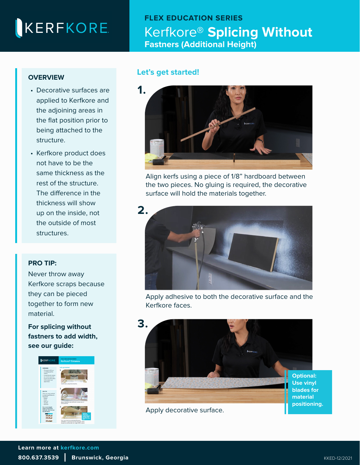# KERFKORE

### **FLEX EDUCATION SERIES**  Kerfkore® **Splicing Without Fastners (Additional Height)**

#### **OVERVIEW**

- Decorative surfaces are applied to Kerfkore and the adjoining areas in the flat position prior to being attached to the structure.
- Kerfkore product does not have to be the same thickness as the rest of the structure. The difference in the thickness will show up on the inside, not the outside of most structures.

#### **PRO TIP:**

Never throw away [Kerfkore scraps because](https://kerfkore.com/wp-content/uploads/2022/01/Kerfkore-Splicing-Without-Fastners-Width.pdf)  they can be pieced together to form new material.

**For splicing without [fastners to add width,](https://kerfkore.com/wp-content/uploads/2020/01/Kerfkore-Splicing-Without-Fastners-Width-2.pdf)  see our guide:**



#### **Let's get started!**



Align kerfs using a piece of 1/8" hardboard between the two pieces. No gluing is required, the decorative surface will hold the materials together.



Apply adhesive to both the decorative surface and the Kerfkore faces.



Apply decorative surface.

**Use vinyl blades for positioning.**